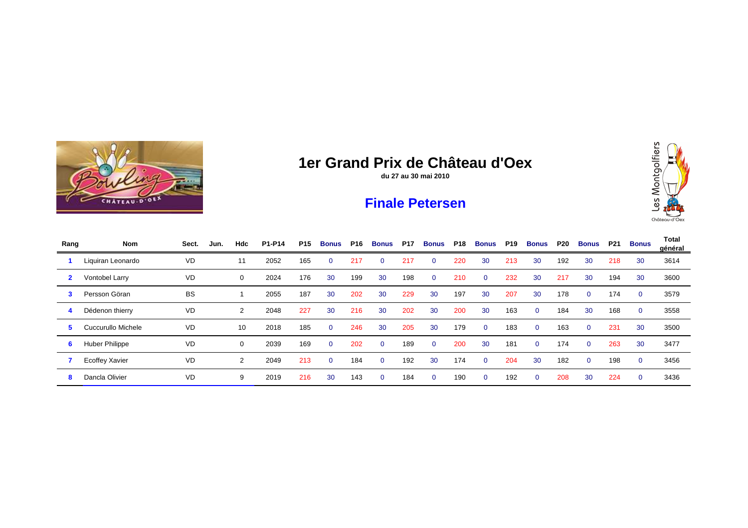

**du 27 au 30 mai 2010**

#### **Finale Petersen**



| Rang         | <b>Nom</b>            | Sect.     | Jun. | Hdc | P1-P14 | P15 | <b>Bonus</b> | P16 | <b>Bonus</b> | <b>P17</b> | <b>Bonus</b> | <b>P18</b> | <b>Bonus</b>   | <b>P19</b> | <b>Bonus</b> | P20 | Bonus    | P21 | <b>Bonus</b> | Total<br>général |
|--------------|-----------------------|-----------|------|-----|--------|-----|--------------|-----|--------------|------------|--------------|------------|----------------|------------|--------------|-----|----------|-----|--------------|------------------|
|              | Liquiran Leonardo     | <b>VD</b> |      | 11  | 2052   | 165 | $\Omega$     | 217 | $\Omega$     | 217        | $\Omega$     | 220        | 30             | 213        | 30           | 192 | 30       | 218 | 30           | 3614             |
| $\mathbf{2}$ | Vontobel Larry        | <b>VD</b> |      | 0   | 2024   | 176 | 30           | 199 | 30           | 198        | $\Omega$     | 210        | $\overline{0}$ | 232        | 30           | 217 | 30       | 194 | 30           | 3600             |
| 3            | Persson Göran         | <b>BS</b> |      |     | 2055   | 187 | 30           | 202 | 30           | 229        | 30           | 197        | 30             | 207        | 30           | 178 | $\Omega$ | 174 | $\Omega$     | 3579             |
| 4            | Dédenon thierry       | <b>VD</b> |      | 2   | 2048   | 227 | 30           | 216 | 30           | 202        | 30           | 200        | 30             | 163        | $\mathbf{0}$ | 184 | 30       | 168 | $\mathbf{0}$ | 3558             |
| 5.           | Cuccurullo Michele    | VD        |      | 10  | 2018   | 185 | $\mathbf{0}$ | 246 | 30           | 205        | 30           | 179        | $\overline{0}$ | 183        | $\mathbf{0}$ | 163 | $\Omega$ | 231 | 30           | 3500             |
| 6            | <b>Huber Philippe</b> | <b>VD</b> |      | 0   | 2039   | 169 | $\Omega$     | 202 | $\Omega$     | 189        | $\Omega$     | 200        | 30             | 181        | $\Omega$     | 174 | $\Omega$ | 263 | 30           | 3477             |
|              | Ecoffey Xavier        | <b>VD</b> |      | 2   | 2049   | 213 | $\mathbf{0}$ | 184 | $\Omega$     | 192        | 30           | 174        | $\Omega$       | 204        | 30           | 182 | $\Omega$ | 198 | $\Omega$     | 3456             |
| 8            | Dancla Olivier        | VD        |      | 9   | 2019   | 216 | 30           | 143 | $\mathbf 0$  | 184        | $\Omega$     | 190        | $\overline{0}$ | 192        | $\mathbf{0}$ | 208 | 30       | 224 | $\mathbf{0}$ | 3436             |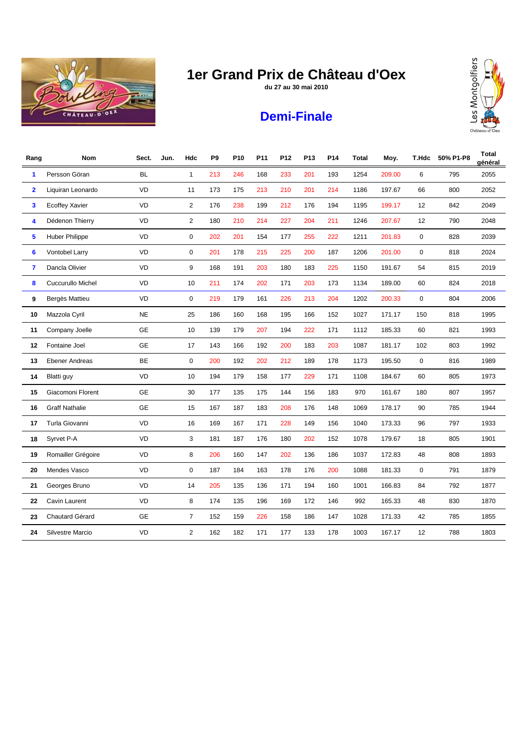

**du 27 au 30 mai 2010**



# **Demi-Finale**

| Rang                    | Nom                      | Sect.     | Jun. | Hdc            | P <sub>9</sub> | P <sub>10</sub> | P <sub>11</sub> | P12 | P <sub>13</sub> | P <sub>14</sub> | Total | Moy.   | T.Hdc | 50% P1-P8 | <b>Total</b><br>général |
|-------------------------|--------------------------|-----------|------|----------------|----------------|-----------------|-----------------|-----|-----------------|-----------------|-------|--------|-------|-----------|-------------------------|
| 1                       | Persson Göran            | <b>BL</b> |      | $\mathbf{1}$   | 213            | 246             | 168             | 233 | 201             | 193             | 1254  | 209.00 | 6     | 795       | 2055                    |
| $\overline{\mathbf{2}}$ | Liquiran Leonardo        | VD        |      | 11             | 173            | 175             | 213             | 210 | 201             | 214             | 1186  | 197.67 | 66    | 800       | 2052                    |
| 3                       | <b>Ecoffey Xavier</b>    | VD        |      | $\overline{c}$ | 176            | 238             | 199             | 212 | 176             | 194             | 1195  | 199.17 | 12    | 842       | 2049                    |
| 4                       | Dédenon Thierry          | <b>VD</b> |      | $\overline{c}$ | 180            | 210             | 214             | 227 | 204             | 211             | 1246  | 207.67 | 12    | 790       | 2048                    |
| 5                       | Huber Philippe           | VD        |      | 0              | 202            | 201             | 154             | 177 | 255             | 222             | 1211  | 201.83 | 0     | 828       | 2039                    |
| 6                       | Vontobel Larry           | <b>VD</b> |      | 0              | 201            | 178             | 215             | 225 | 200             | 187             | 1206  | 201.00 | 0     | 818       | 2024                    |
| 7                       | Dancla Olivier           | <b>VD</b> |      | 9              | 168            | 191             | 203             | 180 | 183             | 225             | 1150  | 191.67 | 54    | 815       | 2019                    |
| 8                       | <b>Cuccurullo Michel</b> | VD        |      | 10             | 211            | 174             | 202             | 171 | 203             | 173             | 1134  | 189.00 | 60    | 824       | 2018                    |
| 9                       | Bergès Mattieu           | <b>VD</b> |      | 0              | 219            | 179             | 161             | 226 | 213             | 204             | 1202  | 200.33 | 0     | 804       | 2006                    |
| 10                      | Mazzola Cyril            | <b>NE</b> |      | 25             | 186            | 160             | 168             | 195 | 166             | 152             | 1027  | 171.17 | 150   | 818       | 1995                    |
| 11                      | Company Joelle           | <b>GE</b> |      | 10             | 139            | 179             | 207             | 194 | 222             | 171             | 1112  | 185.33 | 60    | 821       | 1993                    |
| 12                      | Fontaine Joel            | <b>GE</b> |      | 17             | 143            | 166             | 192             | 200 | 183             | 203             | 1087  | 181.17 | 102   | 803       | 1992                    |
| 13                      | <b>Ebener Andreas</b>    | <b>BE</b> |      | $\pmb{0}$      | 200            | 192             | 202             | 212 | 189             | 178             | 1173  | 195.50 | 0     | 816       | 1989                    |
| 14                      | Blatti guy               | VD        |      | 10             | 194            | 179             | 158             | 177 | 229             | 171             | 1108  | 184.67 | 60    | 805       | 1973                    |
| 15                      | Giacomoni Florent        | <b>GE</b> |      | 30             | 177            | 135             | 175             | 144 | 156             | 183             | 970   | 161.67 | 180   | 807       | 1957                    |
| 16                      | <b>Graff Nathalie</b>    | <b>GE</b> |      | 15             | 167            | 187             | 183             | 208 | 176             | 148             | 1069  | 178.17 | 90    | 785       | 1944                    |
| 17                      | Turla Giovanni           | VD        |      | 16             | 169            | 167             | 171             | 228 | 149             | 156             | 1040  | 173.33 | 96    | 797       | 1933                    |
| 18                      | Syrvet P-A               | VD        |      | 3              | 181            | 187             | 176             | 180 | 202             | 152             | 1078  | 179.67 | 18    | 805       | 1901                    |
| 19                      | Romailler Grégoire       | VD        |      | 8              | 206            | 160             | 147             | 202 | 136             | 186             | 1037  | 172.83 | 48    | 808       | 1893                    |
| 20                      | Mendes Vasco             | VD        |      | 0              | 187            | 184             | 163             | 178 | 176             | 200             | 1088  | 181.33 | 0     | 791       | 1879                    |
| 21                      | Georges Bruno            | VD        |      | 14             | 205            | 135             | 136             | 171 | 194             | 160             | 1001  | 166.83 | 84    | 792       | 1877                    |
| 22                      | Cavin Laurent            | VD        |      | 8              | 174            | 135             | 196             | 169 | 172             | 146             | 992   | 165.33 | 48    | 830       | 1870                    |
| 23                      | Chautard Gérard          | <b>GE</b> |      | $\overline{7}$ | 152            | 159             | 226             | 158 | 186             | 147             | 1028  | 171.33 | 42    | 785       | 1855                    |
| 24                      | <b>Silvestre Marcio</b>  | VD        |      | $\overline{2}$ | 162            | 182             | 171             | 177 | 133             | 178             | 1003  | 167.17 | 12    | 788       | 1803                    |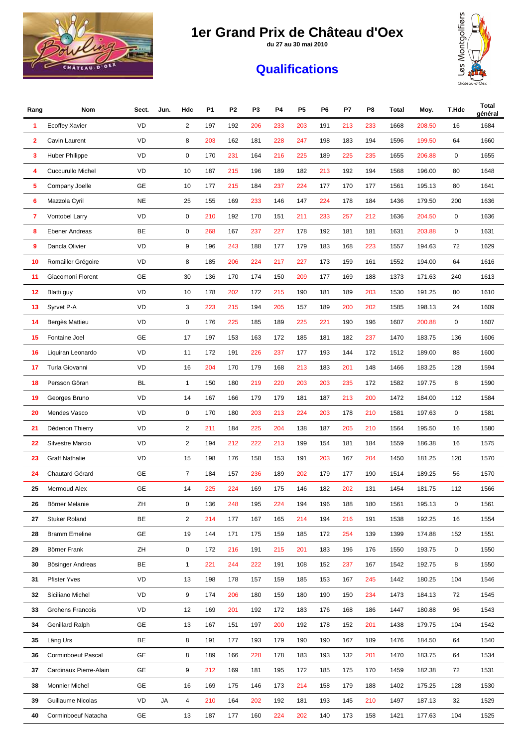**du 27 au 30 mai 2010**



#### **Qualifications**



| Rang | Nom                       | Sect.     | Jun. | Hdc            | P <sub>1</sub> | P <sub>2</sub> | P <sub>3</sub> | P4  | P <sub>5</sub> | P6  | P7  | P8  | Total | Moy.   | T.Hdc | Total<br>général |
|------|---------------------------|-----------|------|----------------|----------------|----------------|----------------|-----|----------------|-----|-----|-----|-------|--------|-------|------------------|
| 1    | <b>Ecoffey Xavier</b>     | <b>VD</b> |      | $\overline{2}$ | 197            | 192            | 206            | 233 | 203            | 191 | 213 | 233 | 1668  | 208.50 | 16    | 1684             |
| 2    | Cavin Laurent             | VD        |      | 8              | 203            | 162            | 181            | 228 | 247            | 198 | 183 | 194 | 1596  | 199.50 | 64    | 1660             |
| 3    | <b>Huber Philippe</b>     | VD        |      | $\mathbf 0$    | 170            | 231            | 164            | 216 | 225            | 189 | 225 | 235 | 1655  | 206.88 | 0     | 1655             |
| 4    | Cuccurullo Michel         | VD        |      | 10             | 187            | 215            | 196            | 189 | 182            | 213 | 192 | 194 | 1568  | 196.00 | 80    | 1648             |
| 5    | Company Joelle            | GE        |      | 10             | 177            | 215            | 184            | 237 | 224            | 177 | 170 | 177 | 1561  | 195.13 | 80    | 1641             |
| 6    | Mazzola Cyril             | <b>NE</b> |      | 25             | 155            | 169            | 233            | 146 | 147            | 224 | 178 | 184 | 1436  | 179.50 | 200   | 1636             |
| 7    | Vontobel Larry            | VD        |      | $\mathbf 0$    | 210            | 192            | 170            | 151 | 211            | 233 | 257 | 212 | 1636  | 204.50 | 0     | 1636             |
| 8    | <b>Ebener Andreas</b>     | BE        |      | $\mathbf 0$    | 268            | 167            | 237            | 227 | 178            | 192 | 181 | 181 | 1631  | 203.88 | 0     | 1631             |
| 9    | Dancla Olivier            | <b>VD</b> |      | 9              | 196            | 243            | 188            | 177 | 179            | 183 | 168 | 223 | 1557  | 194.63 | 72    | 1629             |
| 10   | Romailler Grégoire        | VD        |      | 8              | 185            | 206            | 224            | 217 | 227            | 173 | 159 | 161 | 1552  | 194.00 | 64    | 1616             |
| 11   | Giacomoni Florent         | GE        |      | 30             | 136            | 170            | 174            | 150 | 209            | 177 | 169 | 188 | 1373  | 171.63 | 240   | 1613             |
| 12   | Blatti guy                | VD        |      | 10             | 178            | 202            | 172            | 215 | 190            | 181 | 189 | 203 | 1530  | 191.25 | 80    | 1610             |
| 13   | Syrvet P-A                | VD        |      | 3              | 223            | 215            | 194            | 205 | 157            | 189 | 200 | 202 | 1585  | 198.13 | 24    | 1609             |
| 14   | Bergès Mattieu            | VD        |      | $\mathbf 0$    | 176            | 225            | 185            | 189 | 225            | 221 | 190 | 196 | 1607  | 200.88 | 0     | 1607             |
| 15   | Fontaine Joel             | <b>GE</b> |      | 17             | 197            | 153            | 163            | 172 | 185            | 181 | 182 | 237 | 1470  | 183.75 | 136   | 1606             |
| 16   | Liquiran Leonardo         | VD        |      | 11             | 172            | 191            | 226            | 237 | 177            | 193 | 144 | 172 | 1512  | 189.00 | 88    | 1600             |
| 17   | Turla Giovanni            | VD        |      | 16             | 204            | 170            | 179            | 168 | 213            | 183 | 201 | 148 | 1466  | 183.25 | 128   | 1594             |
| 18   | Persson Göran             | <b>BL</b> |      | $\mathbf{1}$   | 150            | 180            | 219            | 220 | 203            | 203 | 235 | 172 | 1582  | 197.75 | 8     | 1590             |
| 19   | Georges Bruno             | VD        |      | 14             | 167            | 166            | 179            | 179 | 181            | 187 | 213 | 200 | 1472  | 184.00 | 112   | 1584             |
| 20   | Mendes Vasco              | VD        |      | $\mathbf 0$    | 170            | 180            | 203            | 213 | 224            | 203 | 178 | 210 | 1581  | 197.63 | 0     | 1581             |
| 21   | Dédenon Thierry           | VD        |      | $\overline{2}$ | 211            | 184            | 225            | 204 | 138            | 187 | 205 | 210 | 1564  | 195.50 | 16    | 1580             |
| 22   | <b>Silvestre Marcio</b>   | VD        |      | 2              | 194            | 212            | 222            | 213 | 199            | 154 | 181 | 184 | 1559  | 186.38 | 16    | 1575             |
| 23   | <b>Graff Nathalie</b>     | VD        |      | 15             | 198            | 176            | 158            | 153 | 191            | 203 | 167 | 204 | 1450  | 181.25 | 120   | 1570             |
| 24   | Chautard Gérard           | GE        |      | $\overline{7}$ | 184            | 157            | 236            | 189 | 202            | 179 | 177 | 190 | 1514  | 189.25 | 56    | 1570             |
| 25   | Mermoud Alex              | GE        |      | 14             | 225            | 224            | 169            | 175 | 146            | 182 | 202 | 131 | 1454  | 181.75 | 112   | 1566             |
| 26   | Börner Melanie            | ZΗ        |      | 0              | 136            | 248            | 195            | 224 | 194            | 196 | 188 | 180 | 1561  | 195.13 | 0     | 1561             |
| 27   | <b>Stuker Roland</b>      | BE        |      | $\overline{c}$ | 214            | 177            | 167            | 165 | 214            | 194 | 216 | 191 | 1538  | 192.25 | 16    | 1554             |
| 28   | <b>Bramm Emeline</b>      | <b>GE</b> |      | 19             | 144            | 171            | 175            | 159 | 185            | 172 | 254 | 139 | 1399  | 174.88 | 152   | 1551             |
| 29   | Börner Frank              | ZH        |      | $\mathbf 0$    | 172            | 216            | 191            | 215 | 201            | 183 | 196 | 176 | 1550  | 193.75 | 0     | 1550             |
| 30   | Bösinger Andreas          | BE        |      | $\mathbf{1}$   | 221            | 244            | 222            | 191 | 108            | 152 | 237 | 167 | 1542  | 192.75 | 8     | 1550             |
| 31   | <b>Pfister Yves</b>       | VD        |      | 13             | 198            | 178            | 157            | 159 | 185            | 153 | 167 | 245 | 1442  | 180.25 | 104   | 1546             |
| 32   | Siciliano Michel          | VD        |      | 9              | 174            | 206            | 180            | 159 | 180            | 190 | 150 | 234 | 1473  | 184.13 | 72    | 1545             |
| 33   | Grohens Francois          | VD        |      | 12             | 169            | 201            | 192            | 172 | 183            | 176 | 168 | 186 | 1447  | 180.88 | 96    | 1543             |
| 34   | <b>Genillard Ralph</b>    | GE        |      | 13             | 167            | 151            | 197            | 200 | 192            | 178 | 152 | 201 | 1438  | 179.75 | 104   | 1542             |
| 35   | Läng Urs                  | BE        |      | 8              | 191            | 177            | 193            | 179 | 190            | 190 | 167 | 189 | 1476  | 184.50 | 64    | 1540             |
| 36   | <b>Corminboeuf Pascal</b> | GE        |      | 8              | 189            | 166            | 228            | 178 | 183            | 193 | 132 | 201 | 1470  | 183.75 | 64    | 1534             |
| 37   | Cardinaux Pierre-Alain    | GE        |      | 9              | 212            | 169            | 181            | 195 | 172            | 185 | 175 | 170 | 1459  | 182.38 | 72    | 1531             |
| 38   | Monnier Michel            | GE        |      | 16             | 169            | 175            | 146            | 173 | 214            | 158 | 179 | 188 | 1402  | 175.25 | 128   | 1530             |
| 39   | <b>Guillaume Nicolas</b>  | VD        | JA   | 4              | 210            | 164            | 202            | 192 | 181            | 193 | 145 | 210 | 1497  | 187.13 | 32    | 1529             |
| 40   | Corminboeuf Natacha       | GE        |      | 13             | 187            | 177            | 160            | 224 | 202            | 140 | 173 | 158 | 1421  | 177.63 | 104   | 1525             |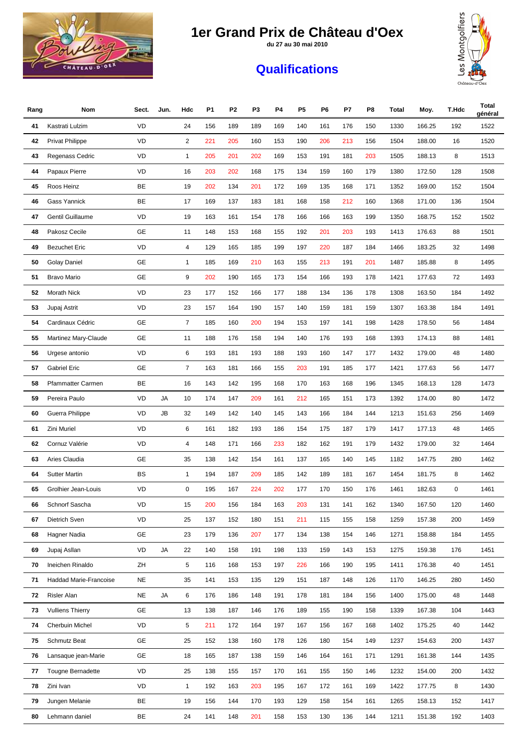**du 27 au 30 mai 2010**



#### **Qualifications**



| Rang | Nom                     | Sect.     | Jun. | Hdc            | P <sub>1</sub> | P2  | P3  | P4  | P5  | P6  | P7  | P8  | <b>Total</b> | Moy.   | T.Hdc | Total<br>général |
|------|-------------------------|-----------|------|----------------|----------------|-----|-----|-----|-----|-----|-----|-----|--------------|--------|-------|------------------|
| 41   | Kastrati Lulzim         | VD        |      | 24             | 156            | 189 | 189 | 169 | 140 | 161 | 176 | 150 | 1330         | 166.25 | 192   | 1522             |
| 42   | <b>Privat Philippe</b>  | VD        |      | $\overline{2}$ | 221            | 205 | 160 | 153 | 190 | 206 | 213 | 156 | 1504         | 188.00 | 16    | 1520             |
| 43   | Regenass Cedric         | VD        |      | 1              | 205            | 201 | 202 | 169 | 153 | 191 | 181 | 203 | 1505         | 188.13 | 8     | 1513             |
| 44   | Papaux Pierre           | VD        |      | 16             | 203            | 202 | 168 | 175 | 134 | 159 | 160 | 179 | 1380         | 172.50 | 128   | 1508             |
| 45   | Roos Heinz              | BE        |      | 19             | 202            | 134 | 201 | 172 | 169 | 135 | 168 | 171 | 1352         | 169.00 | 152   | 1504             |
| 46   | Gass Yannick            | BE        |      | 17             | 169            | 137 | 183 | 181 | 168 | 158 | 212 | 160 | 1368         | 171.00 | 136   | 1504             |
| 47   | Gentil Guillaume        | VD        |      | 19             | 163            | 161 | 154 | 178 | 166 | 166 | 163 | 199 | 1350         | 168.75 | 152   | 1502             |
| 48   | Pakosz Cecile           | GE        |      | 11             | 148            | 153 | 168 | 155 | 192 | 201 | 203 | 193 | 1413         | 176.63 | 88    | 1501             |
| 49   | <b>Bezuchet Eric</b>    | VD        |      | 4              | 129            | 165 | 185 | 199 | 197 | 220 | 187 | 184 | 1466         | 183.25 | 32    | 1498             |
| 50   | Golay Daniel            | <b>GE</b> |      | 1              | 185            | 169 | 210 | 163 | 155 | 213 | 191 | 201 | 1487         | 185.88 | 8     | 1495             |
| 51   | <b>Bravo Mario</b>      | GE        |      | 9              | 202            | 190 | 165 | 173 | 154 | 166 | 193 | 178 | 1421         | 177.63 | 72    | 1493             |
| 52   | Morath Nick             | VD        |      | 23             | 177            | 152 | 166 | 177 | 188 | 134 | 136 | 178 | 1308         | 163.50 | 184   | 1492             |
| 53   | Jupaj Astrit            | VD        |      | 23             | 157            | 164 | 190 | 157 | 140 | 159 | 181 | 159 | 1307         | 163.38 | 184   | 1491             |
| 54   | Cardinaux Cédric        | GE        |      | $\overline{7}$ | 185            | 160 | 200 | 194 | 153 | 197 | 141 | 198 | 1428         | 178.50 | 56    | 1484             |
| 55   | Martinez Mary-Claude    | GE        |      | 11             | 188            | 176 | 158 | 194 | 140 | 176 | 193 | 168 | 1393         | 174.13 | 88    | 1481             |
| 56   | Urgese antonio          | VD        |      | 6              | 193            | 181 | 193 | 188 | 193 | 160 | 147 | 177 | 1432         | 179.00 | 48    | 1480             |
| 57   | <b>Gabriel Eric</b>     | GE        |      | $\overline{7}$ | 163            | 181 | 166 | 155 | 203 | 191 | 185 | 177 | 1421         | 177.63 | 56    | 1477             |
| 58   | Pfammatter Carmen       | BE        |      | 16             | 143            | 142 | 195 | 168 | 170 | 163 | 168 | 196 | 1345         | 168.13 | 128   | 1473             |
| 59   | Pereira Paulo           | VD        | JA   | 10             | 174            | 147 | 209 | 161 | 212 | 165 | 151 | 173 | 1392         | 174.00 | 80    | 1472             |
| 60   | Guerra Philippe         | VD        | JB   | 32             | 149            | 142 | 140 | 145 | 143 | 166 | 184 | 144 | 1213         | 151.63 | 256   | 1469             |
| 61   | Zini Muriel             | VD        |      | 6              | 161            | 182 | 193 | 186 | 154 | 175 | 187 | 179 | 1417         | 177.13 | 48    | 1465             |
| 62   | Cornuz Valérie          | VD        |      | 4              | 148            | 171 | 166 | 233 | 182 | 162 | 191 | 179 | 1432         | 179.00 | 32    | 1464             |
| 63   | Aries Claudia           | GE        |      | 35             | 138            | 142 | 154 | 161 | 137 | 165 | 140 | 145 | 1182         | 147.75 | 280   | 1462             |
| 64   | <b>Sutter Martin</b>    | <b>BS</b> |      | 1              | 194            | 187 | 209 | 185 | 142 | 189 | 181 | 167 | 1454         | 181.75 | 8     | 1462             |
| 65   | Grolhier Jean-Louis     | VD        |      | 0              | 195            | 167 | 224 | 202 | 177 | 170 | 150 | 176 | 1461         | 182.63 | 0     | 1461             |
| 66   | Schnorf Sascha          | VD        |      | 15             | 200            | 156 | 184 | 163 | 203 | 131 | 141 | 162 | 1340         | 167.50 | 120   | 1460             |
| 67   | Dietrich Sven           | VD        |      | 25             | 137            | 152 | 180 | 151 | 211 | 115 | 155 | 158 | 1259         | 157.38 | 200   | 1459             |
| 68   | Hagner Nadia            | GE        |      | 23             | 179            | 136 | 207 | 177 | 134 | 138 | 154 | 146 | 1271         | 158.88 | 184   | 1455             |
| 69   | Jupaj Asllan            | VD        | JA   | 22             | 140            | 158 | 191 | 198 | 133 | 159 | 143 | 153 | 1275         | 159.38 | 176   | 1451             |
| 70   | Ineichen Rinaldo        | ZH        |      | 5              | 116            | 168 | 153 | 197 | 226 | 166 | 190 | 195 | 1411         | 176.38 | 40    | 1451             |
| 71   | Haddad Marie-Francoise  | NE        |      | 35             | 141            | 153 | 135 | 129 | 151 | 187 | 148 | 126 | 1170         | 146.25 | 280   | 1450             |
| 72   | Risler Alan             | <b>NE</b> | JA   | 6              | 176            | 186 | 148 | 191 | 178 | 181 | 184 | 156 | 1400         | 175.00 | 48    | 1448             |
| 73   | <b>Vulliens Thierry</b> | GE        |      | 13             | 138            | 187 | 146 | 176 | 189 | 155 | 190 | 158 | 1339         | 167.38 | 104   | 1443             |
| 74   | Cherbuin Michel         | VD        |      | 5              | 211            | 172 | 164 | 197 | 167 | 156 | 167 | 168 | 1402         | 175.25 | 40    | 1442             |
| 75   | Schmutz Beat            | <b>GE</b> |      | 25             | 152            | 138 | 160 | 178 | 126 | 180 | 154 | 149 | 1237         | 154.63 | 200   | 1437             |
| 76   | Lansaque jean-Marie     | GE        |      | 18             | 165            | 187 | 138 | 159 | 146 | 164 | 161 | 171 | 1291         | 161.38 | 144   | 1435             |
| 77   | Tougne Bernadette       | VD        |      | 25             | 138            | 155 | 157 | 170 | 161 | 155 | 150 | 146 | 1232         | 154.00 | 200   | 1432             |
| 78   | Zini Ivan               | VD        |      | 1              | 192            | 163 | 203 | 195 | 167 | 172 | 161 | 169 | 1422         | 177.75 | 8     | 1430             |
| 79   | Jungen Melanie          | BE        |      | 19             | 156            | 144 | 170 | 193 | 129 | 158 | 154 | 161 | 1265         | 158.13 | 152   | 1417             |
| 80   | Lehmann daniel          | BE        |      | 24             | 141            | 148 | 201 | 158 | 153 | 130 | 136 | 144 | 1211         | 151.38 | 192   | 1403             |